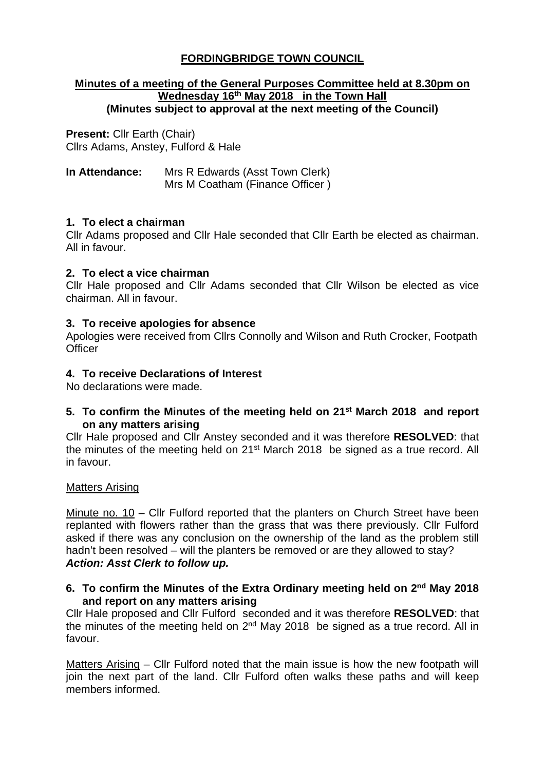# **FORDINGBRIDGE TOWN COUNCIL**

### **Minutes of a meeting of the General Purposes Committee held at 8.30pm on Wednesday 16th May 2018 in the Town Hall (Minutes subject to approval at the next meeting of the Council)**

**Present:** Cllr Earth (Chair) Cllrs Adams, Anstey, Fulford & Hale

| In Attendance: | Mrs R Edwards (Asst Town Clerk) |
|----------------|---------------------------------|
|                | Mrs M Coatham (Finance Officer) |

# **1. To elect a chairman**

Cllr Adams proposed and Cllr Hale seconded that Cllr Earth be elected as chairman. All in favour.

## **2. To elect a vice chairman**

Cllr Hale proposed and Cllr Adams seconded that Cllr Wilson be elected as vice chairman. All in favour.

# **3. To receive apologies for absence**

Apologies were received from Cllrs Connolly and Wilson and Ruth Crocker, Footpath **Officer** 

# **4. To receive Declarations of Interest**

No declarations were made.

**5. To confirm the Minutes of the meeting held on 21st March 2018 and report on any matters arising**

Cllr Hale proposed and Cllr Anstey seconded and it was therefore **RESOLVED**: that the minutes of the meeting held on 21<sup>st</sup> March 2018 be signed as a true record. All in favour.

## Matters Arising

Minute no. 10 – Cllr Fulford reported that the planters on Church Street have been replanted with flowers rather than the grass that was there previously. Cllr Fulford asked if there was any conclusion on the ownership of the land as the problem still hadn't been resolved – will the planters be removed or are they allowed to stay? *Action: Asst Clerk to follow up.*

# **6. To confirm the Minutes of the Extra Ordinary meeting held on 2nd May 2018 and report on any matters arising**

Cllr Hale proposed and Cllr Fulford seconded and it was therefore **RESOLVED**: that the minutes of the meeting held on  $2<sup>nd</sup>$  May 2018 be signed as a true record. All in favour.

Matters Arising – Cllr Fulford noted that the main issue is how the new footpath will join the next part of the land. Cllr Fulford often walks these paths and will keep members informed.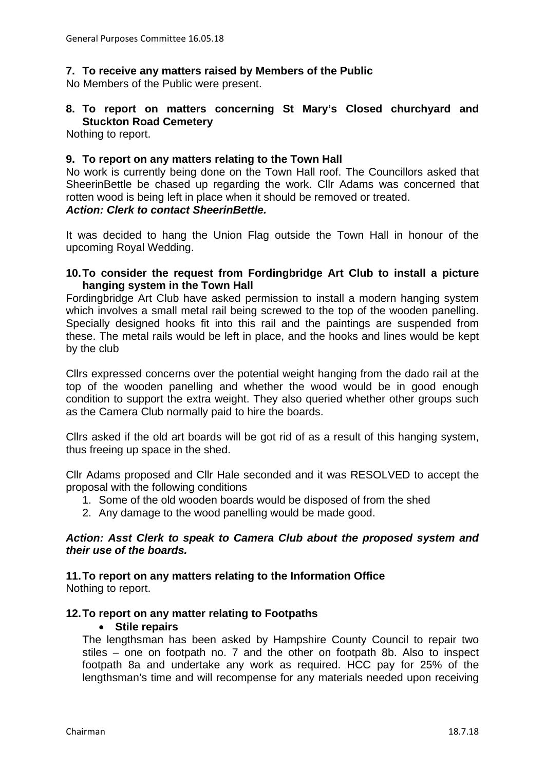## **7. To receive any matters raised by Members of the Public**

No Members of the Public were present.

## **8. To report on matters concerning St Mary's Closed churchyard and Stuckton Road Cemetery**

Nothing to report.

### **9. To report on any matters relating to the Town Hall**

No work is currently being done on the Town Hall roof. The Councillors asked that SheerinBettle be chased up regarding the work. Cllr Adams was concerned that rotten wood is being left in place when it should be removed or treated. *Action: Clerk to contact SheerinBettle.*

It was decided to hang the Union Flag outside the Town Hall in honour of the upcoming Royal Wedding.

#### **10.To consider the request from Fordingbridge Art Club to install a picture hanging system in the Town Hall**

Fordingbridge Art Club have asked permission to install a modern hanging system which involves a small metal rail being screwed to the top of the wooden panelling. Specially designed hooks fit into this rail and the paintings are suspended from these. The metal rails would be left in place, and the hooks and lines would be kept by the club

Cllrs expressed concerns over the potential weight hanging from the dado rail at the top of the wooden panelling and whether the wood would be in good enough condition to support the extra weight. They also queried whether other groups such as the Camera Club normally paid to hire the boards.

Cllrs asked if the old art boards will be got rid of as a result of this hanging system, thus freeing up space in the shed.

Cllr Adams proposed and Cllr Hale seconded and it was RESOLVED to accept the proposal with the following conditions

- 1. Some of the old wooden boards would be disposed of from the shed
- 2. Any damage to the wood panelling would be made good.

#### *Action: Asst Clerk to speak to Camera Club about the proposed system and their use of the boards.*

# **11.To report on any matters relating to the Information Office**

Nothing to report.

## **12.To report on any matter relating to Footpaths**

#### • **Stile repairs**

The lengthsman has been asked by Hampshire County Council to repair two stiles – one on footpath no. 7 and the other on footpath 8b. Also to inspect footpath 8a and undertake any work as required. HCC pay for 25% of the lengthsman's time and will recompense for any materials needed upon receiving